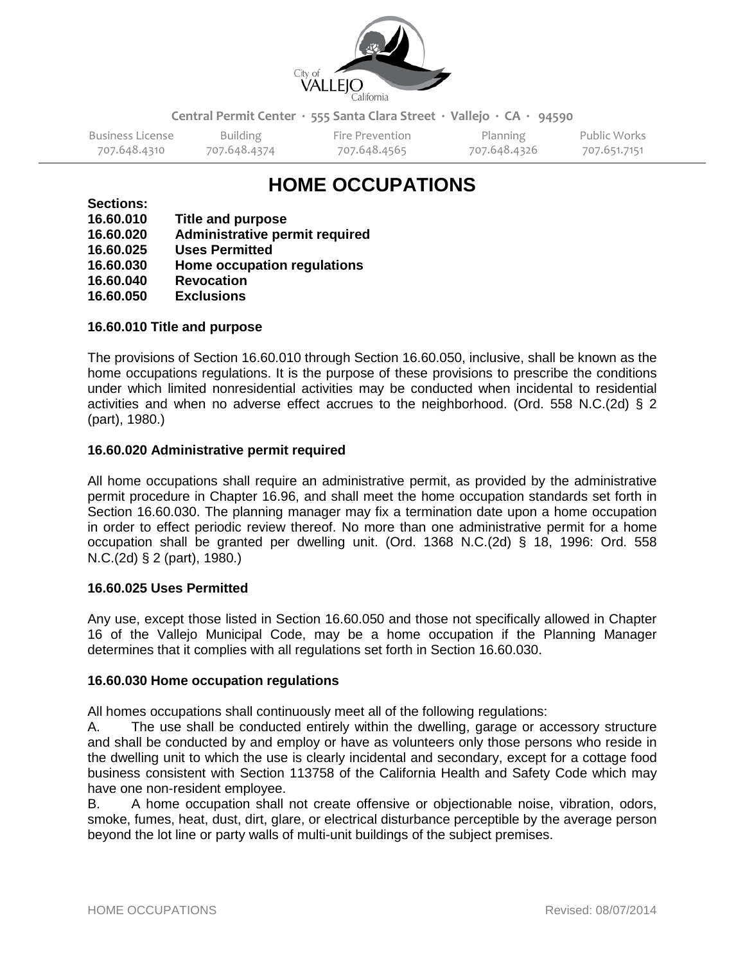

**Central Permit Center ∙ 555 Santa Clara Street ∙ Vallejo ∙ CA ∙ 94590**

Business License Building Fire Prevention Planning Public Works<br>707.648.4310 707.648.4374 707.648.4565 707.648.4326 707.651.7151 707.648.4310 707.648.4374 707.648.4565 707.648.4326 707.651.7151

# **HOME OCCUPATIONS**

**Sections:**

| 16.60.010 | Title and purpose              |
|-----------|--------------------------------|
| 16.60.020 | Administrative permit required |
| 16.60.025 | <b>Uses Permitted</b>          |
| 16.60.030 | Home occupation regulations    |
| 16.60.040 | <b>Revocation</b>              |
| 16.60.050 | <b>Exclusions</b>              |
|           |                                |

# **16.60.010 Title and purpose**

The provisions of Section 16.60.010 through Section 16.60.050, inclusive, shall be known as the home occupations regulations. It is the purpose of these provisions to prescribe the conditions under which limited nonresidential activities may be conducted when incidental to residential activities and when no adverse effect accrues to the neighborhood. (Ord. 558 N.C.(2d) § 2 (part), 1980.)

# **16.60.020 Administrative permit required**

All home occupations shall require an administrative permit, as provided by the administrative permit procedure in Chapter 16.96, and shall meet the home occupation standards set forth in Section 16.60.030. The planning manager may fix a termination date upon a home occupation in order to effect periodic review thereof. No more than one administrative permit for a home occupation shall be granted per dwelling unit. (Ord. 1368 N.C.(2d) § 18, 1996: Ord. 558 N.C.(2d) § 2 (part), 1980.)

#### **16.60.025 Uses Permitted**

Any use, except those listed in Section 16.60.050 and those not specifically allowed in Chapter 16 of the Vallejo Municipal Code, may be a home occupation if the Planning Manager determines that it complies with all regulations set forth in Section 16.60.030.

#### **16.60.030 Home occupation regulations**

All homes occupations shall continuously meet all of the following regulations:

A. The use shall be conducted entirely within the dwelling, garage or accessory structure and shall be conducted by and employ or have as volunteers only those persons who reside in the dwelling unit to which the use is clearly incidental and secondary, except for a cottage food business consistent with Section 113758 of the California Health and Safety Code which may have one non-resident employee.

B. A home occupation shall not create offensive or objectionable noise, vibration, odors, smoke, fumes, heat, dust, dirt, glare, or electrical disturbance perceptible by the average person beyond the lot line or party walls of multi-unit buildings of the subject premises.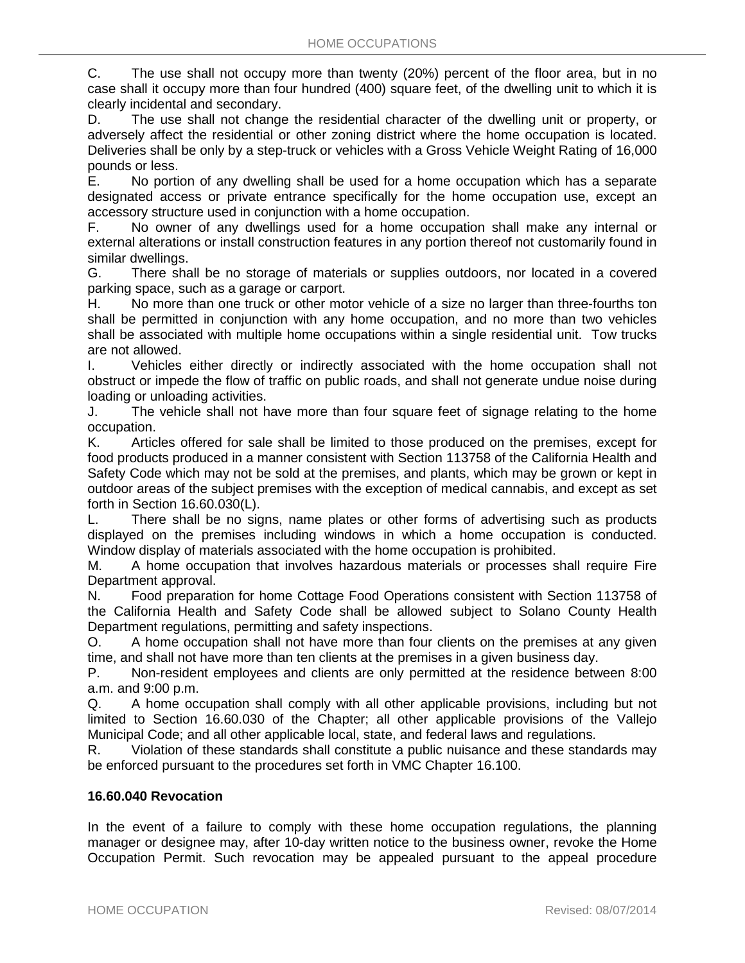C. The use shall not occupy more than twenty (20%) percent of the floor area, but in no case shall it occupy more than four hundred (400) square feet, of the dwelling unit to which it is clearly incidental and secondary.

D. The use shall not change the residential character of the dwelling unit or property, or adversely affect the residential or other zoning district where the home occupation is located. Deliveries shall be only by a step-truck or vehicles with a Gross Vehicle Weight Rating of 16,000 pounds or less.

E. No portion of any dwelling shall be used for a home occupation which has a separate designated access or private entrance specifically for the home occupation use, except an accessory structure used in conjunction with a home occupation.

F. No owner of any dwellings used for a home occupation shall make any internal or external alterations or install construction features in any portion thereof not customarily found in similar dwellings.

G. There shall be no storage of materials or supplies outdoors, nor located in a covered parking space, such as a garage or carport.

H. No more than one truck or other motor vehicle of a size no larger than three-fourths ton shall be permitted in conjunction with any home occupation, and no more than two vehicles shall be associated with multiple home occupations within a single residential unit. Tow trucks are not allowed.

I. Vehicles either directly or indirectly associated with the home occupation shall not obstruct or impede the flow of traffic on public roads, and shall not generate undue noise during loading or unloading activities.

J. The vehicle shall not have more than four square feet of signage relating to the home occupation.

K. Articles offered for sale shall be limited to those produced on the premises, except for food products produced in a manner consistent with Section 113758 of the California Health and Safety Code which may not be sold at the premises, and plants, which may be grown or kept in outdoor areas of the subject premises with the exception of medical cannabis, and except as set forth in Section 16.60.030(L).

L. There shall be no signs, name plates or other forms of advertising such as products displayed on the premises including windows in which a home occupation is conducted. Window display of materials associated with the home occupation is prohibited.

M. A home occupation that involves hazardous materials or processes shall require Fire Department approval.

N. Food preparation for home Cottage Food Operations consistent with Section 113758 of the California Health and Safety Code shall be allowed subject to Solano County Health Department regulations, permitting and safety inspections.

O. A home occupation shall not have more than four clients on the premises at any given time, and shall not have more than ten clients at the premises in a given business day.

P. Non-resident employees and clients are only permitted at the residence between 8:00 a.m. and 9:00 p.m.

Q. A home occupation shall comply with all other applicable provisions, including but not limited to Section 16.60.030 of the Chapter; all other applicable provisions of the Vallejo Municipal Code; and all other applicable local, state, and federal laws and regulations.

R. Violation of these standards shall constitute a public nuisance and these standards may be enforced pursuant to the procedures set forth in VMC Chapter 16.100.

# **16.60.040 Revocation**

In the event of a failure to comply with these home occupation regulations, the planning manager or designee may, after 10-day written notice to the business owner, revoke the Home Occupation Permit. Such revocation may be appealed pursuant to the appeal procedure